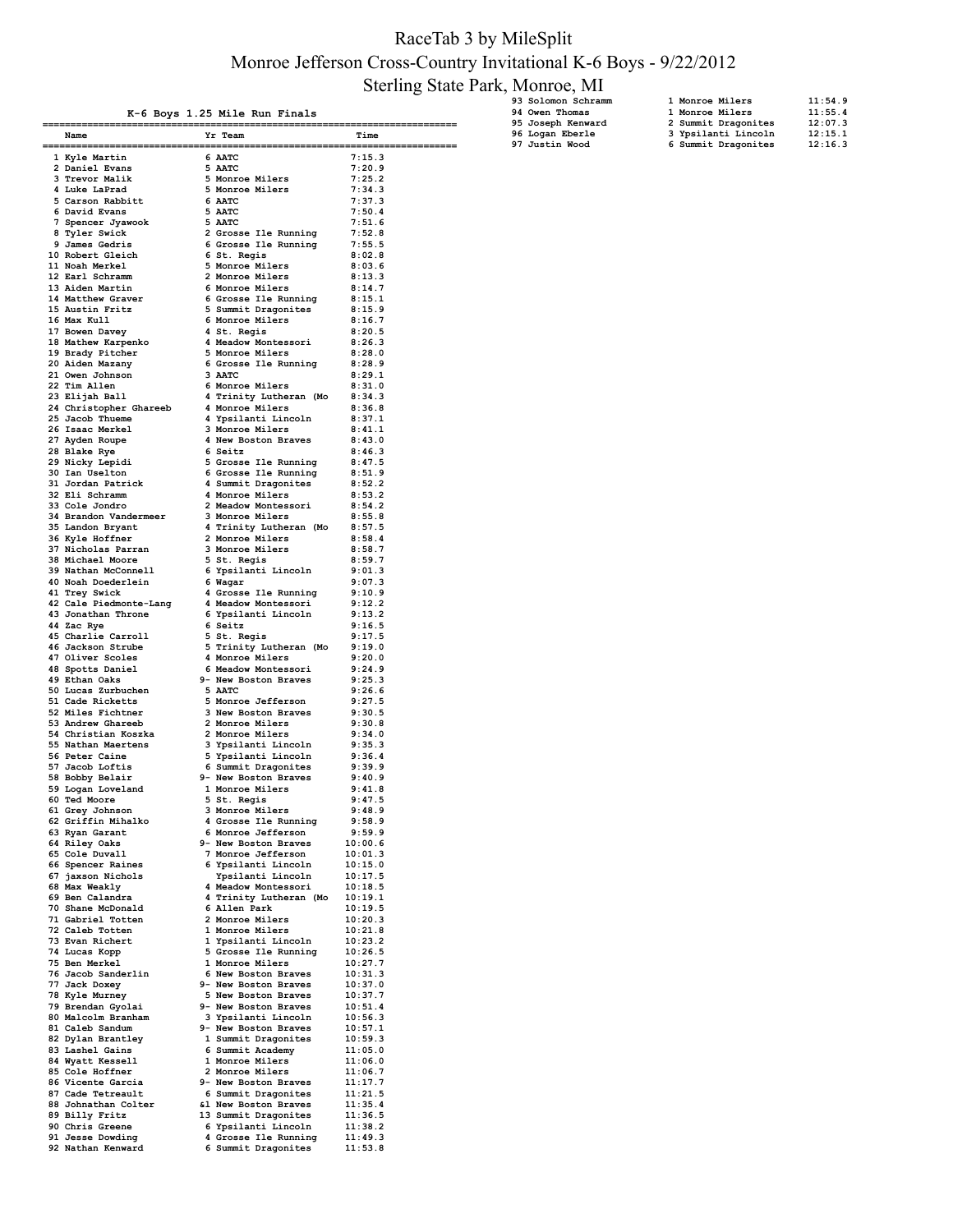## RaceTab 3 by MileSplit Monroe Jefferson Cross-Country Invitational K-6 Boys - 9/22/2012 Sterling State Park, Monroe, MI

 **K-6 Boys 1.25 Mile Run Finals** 

| $\ddotsc$ |                    |  |  |  |  |  |  |
|-----------|--------------------|--|--|--|--|--|--|
|           | 93 Solomon Schramm |  |  |  |  |  |  |
|           | 94 Owen Thomas     |  |  |  |  |  |  |
|           | 95 Joseph Kenward  |  |  |  |  |  |  |
|           | 96 Logan Eberle    |  |  |  |  |  |  |
|           |                    |  |  |  |  |  |  |

|                                                                                                         | 11:54.9                                                                                                 |
|---------------------------------------------------------------------------------------------------------|---------------------------------------------------------------------------------------------------------|
|                                                                                                         | 11:55.4                                                                                                 |
|                                                                                                         | 12:07.3                                                                                                 |
|                                                                                                         | 12:15.1                                                                                                 |
|                                                                                                         | 12:16.3                                                                                                 |
| _____<br>93 Solomon Schramm<br>94 Owen Thomas<br>95 Joseph Kenward<br>96 Logan Eberle<br>97 Justin Wood | 1 Monroe Milers<br>1 Monroe Milers<br>2 Summit Dragonites<br>3 Ypsilanti Lincoln<br>6 Summit Dragonites |

| Name                                                                                                                                                                                                                                                          | Yr Team                                                                                                                                                                                                                                                    | Time             |
|---------------------------------------------------------------------------------------------------------------------------------------------------------------------------------------------------------------------------------------------------------------|------------------------------------------------------------------------------------------------------------------------------------------------------------------------------------------------------------------------------------------------------------|------------------|
|                                                                                                                                                                                                                                                               |                                                                                                                                                                                                                                                            |                  |
|                                                                                                                                                                                                                                                               |                                                                                                                                                                                                                                                            | 7:15.3           |
| 1 Kyle Martin 6 AATC<br>2 Daniel Evans 5 AATC<br>3 Trevor Malik 5 Monroe Milers<br>4 Luke LaPrad 5 Monroe Milers<br>5 Carson Rabbitt 6 AATC<br>6 David Evans 6 AATC                                                                                           |                                                                                                                                                                                                                                                            | 7:20.9<br>7:25.2 |
|                                                                                                                                                                                                                                                               |                                                                                                                                                                                                                                                            | 7:34.3           |
|                                                                                                                                                                                                                                                               |                                                                                                                                                                                                                                                            | 7:37.3           |
|                                                                                                                                                                                                                                                               |                                                                                                                                                                                                                                                            |                  |
|                                                                                                                                                                                                                                                               |                                                                                                                                                                                                                                                            |                  |
|                                                                                                                                                                                                                                                               |                                                                                                                                                                                                                                                            |                  |
|                                                                                                                                                                                                                                                               |                                                                                                                                                                                                                                                            |                  |
|                                                                                                                                                                                                                                                               |                                                                                                                                                                                                                                                            |                  |
|                                                                                                                                                                                                                                                               |                                                                                                                                                                                                                                                            |                  |
|                                                                                                                                                                                                                                                               |                                                                                                                                                                                                                                                            |                  |
|                                                                                                                                                                                                                                                               |                                                                                                                                                                                                                                                            |                  |
|                                                                                                                                                                                                                                                               |                                                                                                                                                                                                                                                            |                  |
|                                                                                                                                                                                                                                                               |                                                                                                                                                                                                                                                            |                  |
|                                                                                                                                                                                                                                                               |                                                                                                                                                                                                                                                            |                  |
|                                                                                                                                                                                                                                                               |                                                                                                                                                                                                                                                            |                  |
|                                                                                                                                                                                                                                                               |                                                                                                                                                                                                                                                            |                  |
|                                                                                                                                                                                                                                                               |                                                                                                                                                                                                                                                            |                  |
|                                                                                                                                                                                                                                                               |                                                                                                                                                                                                                                                            |                  |
|                                                                                                                                                                                                                                                               |                                                                                                                                                                                                                                                            |                  |
|                                                                                                                                                                                                                                                               |                                                                                                                                                                                                                                                            |                  |
|                                                                                                                                                                                                                                                               |                                                                                                                                                                                                                                                            |                  |
|                                                                                                                                                                                                                                                               |                                                                                                                                                                                                                                                            |                  |
|                                                                                                                                                                                                                                                               |                                                                                                                                                                                                                                                            |                  |
|                                                                                                                                                                                                                                                               |                                                                                                                                                                                                                                                            |                  |
|                                                                                                                                                                                                                                                               |                                                                                                                                                                                                                                                            |                  |
|                                                                                                                                                                                                                                                               |                                                                                                                                                                                                                                                            |                  |
|                                                                                                                                                                                                                                                               |                                                                                                                                                                                                                                                            |                  |
|                                                                                                                                                                                                                                                               |                                                                                                                                                                                                                                                            |                  |
|                                                                                                                                                                                                                                                               |                                                                                                                                                                                                                                                            |                  |
|                                                                                                                                                                                                                                                               |                                                                                                                                                                                                                                                            |                  |
|                                                                                                                                                                                                                                                               |                                                                                                                                                                                                                                                            |                  |
|                                                                                                                                                                                                                                                               |                                                                                                                                                                                                                                                            |                  |
|                                                                                                                                                                                                                                                               |                                                                                                                                                                                                                                                            |                  |
|                                                                                                                                                                                                                                                               |                                                                                                                                                                                                                                                            |                  |
|                                                                                                                                                                                                                                                               |                                                                                                                                                                                                                                                            |                  |
|                                                                                                                                                                                                                                                               |                                                                                                                                                                                                                                                            |                  |
|                                                                                                                                                                                                                                                               |                                                                                                                                                                                                                                                            |                  |
|                                                                                                                                                                                                                                                               |                                                                                                                                                                                                                                                            |                  |
|                                                                                                                                                                                                                                                               |                                                                                                                                                                                                                                                            |                  |
|                                                                                                                                                                                                                                                               |                                                                                                                                                                                                                                                            |                  |
|                                                                                                                                                                                                                                                               |                                                                                                                                                                                                                                                            |                  |
|                                                                                                                                                                                                                                                               |                                                                                                                                                                                                                                                            |                  |
|                                                                                                                                                                                                                                                               |                                                                                                                                                                                                                                                            |                  |
|                                                                                                                                                                                                                                                               |                                                                                                                                                                                                                                                            |                  |
|                                                                                                                                                                                                                                                               |                                                                                                                                                                                                                                                            |                  |
|                                                                                                                                                                                                                                                               |                                                                                                                                                                                                                                                            |                  |
|                                                                                                                                                                                                                                                               |                                                                                                                                                                                                                                                            |                  |
|                                                                                                                                                                                                                                                               |                                                                                                                                                                                                                                                            |                  |
|                                                                                                                                                                                                                                                               |                                                                                                                                                                                                                                                            |                  |
|                                                                                                                                                                                                                                                               |                                                                                                                                                                                                                                                            |                  |
|                                                                                                                                                                                                                                                               |                                                                                                                                                                                                                                                            |                  |
|                                                                                                                                                                                                                                                               |                                                                                                                                                                                                                                                            |                  |
|                                                                                                                                                                                                                                                               |                                                                                                                                                                                                                                                            |                  |
|                                                                                                                                                                                                                                                               |                                                                                                                                                                                                                                                            |                  |
|                                                                                                                                                                                                                                                               |                                                                                                                                                                                                                                                            |                  |
|                                                                                                                                                                                                                                                               |                                                                                                                                                                                                                                                            |                  |
|                                                                                                                                                                                                                                                               |                                                                                                                                                                                                                                                            |                  |
|                                                                                                                                                                                                                                                               |                                                                                                                                                                                                                                                            |                  |
|                                                                                                                                                                                                                                                               |                                                                                                                                                                                                                                                            |                  |
|                                                                                                                                                                                                                                                               |                                                                                                                                                                                                                                                            |                  |
| 62 Griffin Mihalko                                                                                                                                                                                                                                            |                                                                                                                                                                                                                                                            |                  |
| 3 Teroro Malhiti 5 Monco Milese 17:25, 2<br>4 Luke LaPrad 5 Monco Milese 17:25, 2<br>4 Guest Barnel 6 ARC<br>5 Gareno Rabiet 6 ARC<br>5 Sure 17:34, 3<br>5 Gareno Rabiet 6 ARC<br>17:35, 4<br>5 Gareno Rabiet 2 Across 11e Running 17:55, 5<br>63 Ryan Garant | 3<br>Monroe Miles.<br>4 Grosse Ile Running<br>6 Monroe Jefferson<br>9:59.9<br>New Boston Braves<br>10:00.6<br>7 Monroe Jefferson<br>10:01.3<br>6 Ypsilanti Lincoln<br>10:15.0<br>4 Meadow Montessori<br>10:18.5<br>4 Trinity Lutheran (Mo 10:19.1<br>6 All |                  |
| 64 Riley Oaks                                                                                                                                                                                                                                                 |                                                                                                                                                                                                                                                            |                  |
| 65 Cole Duvall                                                                                                                                                                                                                                                |                                                                                                                                                                                                                                                            |                  |
| 66 Spencer Raines                                                                                                                                                                                                                                             |                                                                                                                                                                                                                                                            |                  |
| 67 jaxson Nichols                                                                                                                                                                                                                                             |                                                                                                                                                                                                                                                            |                  |
| 68 Max Weakly                                                                                                                                                                                                                                                 |                                                                                                                                                                                                                                                            |                  |
| 69 Ben Calandra<br>69 Ben Calance<br>70 Shane McDonald<br>1. matten                                                                                                                                                                                           |                                                                                                                                                                                                                                                            |                  |
|                                                                                                                                                                                                                                                               |                                                                                                                                                                                                                                                            |                  |
| 71 Gabriel Totten                                                                                                                                                                                                                                             | u Allen Park<br>2 Monroe Milers<br>1 Monroe Milers<br>1 Willen                                                                                                                                                                                             |                  |
| 72 Caleb Totten                                                                                                                                                                                                                                               |                                                                                                                                                                                                                                                            |                  |
|                                                                                                                                                                                                                                                               |                                                                                                                                                                                                                                                            |                  |
|                                                                                                                                                                                                                                                               |                                                                                                                                                                                                                                                            |                  |
|                                                                                                                                                                                                                                                               |                                                                                                                                                                                                                                                            |                  |
|                                                                                                                                                                                                                                                               |                                                                                                                                                                                                                                                            |                  |
|                                                                                                                                                                                                                                                               |                                                                                                                                                                                                                                                            |                  |
|                                                                                                                                                                                                                                                               |                                                                                                                                                                                                                                                            |                  |
|                                                                                                                                                                                                                                                               |                                                                                                                                                                                                                                                            |                  |
|                                                                                                                                                                                                                                                               |                                                                                                                                                                                                                                                            |                  |
|                                                                                                                                                                                                                                                               |                                                                                                                                                                                                                                                            |                  |
|                                                                                                                                                                                                                                                               |                                                                                                                                                                                                                                                            |                  |
|                                                                                                                                                                                                                                                               |                                                                                                                                                                                                                                                            |                  |
|                                                                                                                                                                                                                                                               |                                                                                                                                                                                                                                                            |                  |
|                                                                                                                                                                                                                                                               |                                                                                                                                                                                                                                                            |                  |
|                                                                                                                                                                                                                                                               |                                                                                                                                                                                                                                                            |                  |
|                                                                                                                                                                                                                                                               |                                                                                                                                                                                                                                                            |                  |
|                                                                                                                                                                                                                                                               |                                                                                                                                                                                                                                                            |                  |
|                                                                                                                                                                                                                                                               |                                                                                                                                                                                                                                                            |                  |
|                                                                                                                                                                                                                                                               |                                                                                                                                                                                                                                                            |                  |
| 71 Gabel Totten<br>71 Gabe Totten<br>72 Caleb Totten<br>73 Evan Richert<br>73 Evan Richert<br>74 Lucas Korp<br>75 Ben Merkel<br>76 Jacob Sanderlin<br>76 Jacob Sanderlin<br>8 Merkel<br>76 Jacob Sanderlin<br>8 Merkel<br>76 Jacob Sanderlin<br>8 New B       |                                                                                                                                                                                                                                                            |                  |
|                                                                                                                                                                                                                                                               |                                                                                                                                                                                                                                                            |                  |
|                                                                                                                                                                                                                                                               |                                                                                                                                                                                                                                                            |                  |